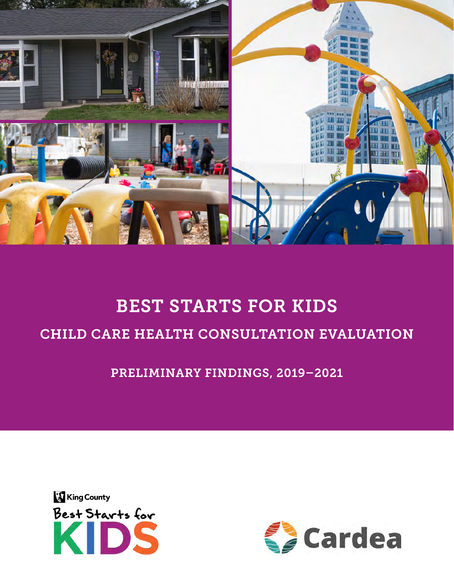

# BEST STARTS FOR KIDS CHILD CARE HEALTH CONSULTATION EVALUATION

PRELIMINARY FINDINGS, 2019–2021



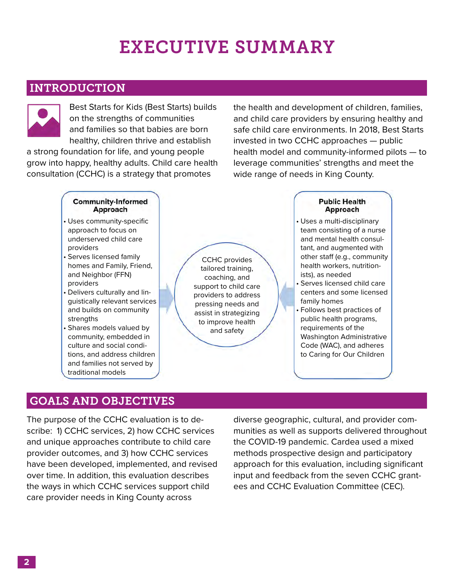## EXECUTIVE SUMMARY

### INTRODUCTION



Best Starts for Kids (Best Starts) builds on the strengths of communities and families so that babies are born healthy, children thrive and establish

a strong foundation for life, and young people grow into happy, healthy adults. Child care health consultation (CCHC) is a strategy that promotes

the health and development of children, families, and child care providers by ensuring healthy and safe child care environments. In 2018, Best Starts invested in two CCHC approaches — public health model and community-informed pilots — to leverage communities' strengths and meet the wide range of needs in King County.

#### **Community-Informed Public Health** Approach Approach • Uses community-specific • Uses a multi-disciplinary approach to focus on team consisting of a nurse underserved child care and mental health consulproviders tant, and augmented with • Serves licensed family other staff (e.g., community CCHC provides homes and Family, Friend, health workers, nutritiontailored training, and Neighbor (FFN) ists), as needed coaching, and providers • Serves licensed child care support to child care • Delivers culturally and lincenters and some licensed providers to address guistically relevant services family homes pressing needs and and builds on community • Follows best practices of assist in strategizing strengths public health programs, to improve health requirements of the • Shares models valued by and safetycommunity, embedded in Washington Administrative culture and social condi-Code (WAC), and adheres tions, and address children to Caring for Our Children

### GOALS AND OBJECTIVES

traditional models

and families not served by

The purpose of the CCHC evaluation is to describe: 1) CCHC services, 2) how CCHC services and unique approaches contribute to child care provider outcomes, and 3) how CCHC services have been developed, implemented, and revised over time. In addition, this evaluation describes the ways in which CCHC services support child care provider needs in King County across

diverse geographic, cultural, and provider communities as well as supports delivered throughout the COVID-19 pandemic. Cardea used a mixed methods prospective design and participatory approach for this evaluation, including significant input and feedback from the seven CCHC grantees and CCHC Evaluation Committee (CEC).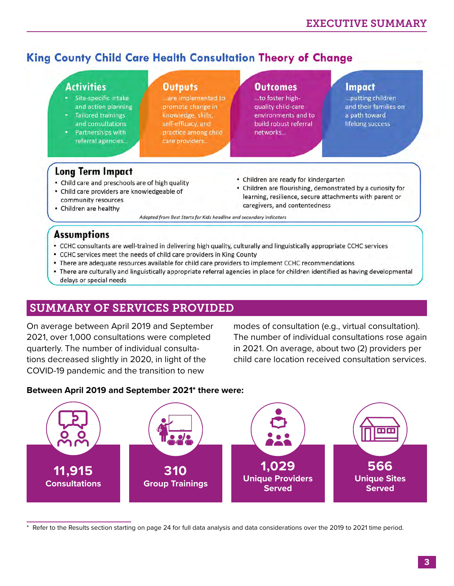## King County Child Care Health Consultation Theory of Change

### **Activities**

- Site-specific intake and action planning
- **Tailored trainings** and consultations
- Partnerships with referral agencies...

### **Outputs**

...are implemented to promote change in knowledge, skills, self-efficacy, and practice among child care providers...

#### **Outcomes**

...to foster highquality child-care environments and to build robust referral networks...

#### *Impact*

... putting children and their families on a path toward lifelong success

### **Long Term Impact**

- Child care and preschools are of high quality
- Child care providers are knowledgeable of community resources
- Children are healthy
- Children are ready for kindergarten
- Children are flourishing, demonstrated by a curiosity for learning, resilience, secure attachments with parent or caregivers, and contentedness

Adapted from Best Starts for Kids headline and secondary indicators

### **Assumptions**

- CCHC consultants are well-trained in delivering high quality, culturally and linguistically appropriate CCHC services
- CCHC services meet the needs of child care providers in King County
- There are adequate resources available for child care providers to implement CCHC recommendations
- There are culturally and linguistically appropriate referral agencies in place for children identified as having developmental delays or special needs

## SUMMARY OF SERVICES PROVIDED

On average between April 2019 and September 2021, over 1,000 consultations were completed quarterly. The number of individual consultations decreased slightly in 2020, in light of the COVID-19 pandemic and the transition to new

modes of consultation (e.g., virtual consultation). The number of individual consultations rose again in 2021. On average, about two (2) providers per child care location received consultation services.

### **Between April 2019 and September 2021\* there were:**



Refer to the Results section starting on page 24 for full data analysis and data considerations over the 2019 to 2021 time period.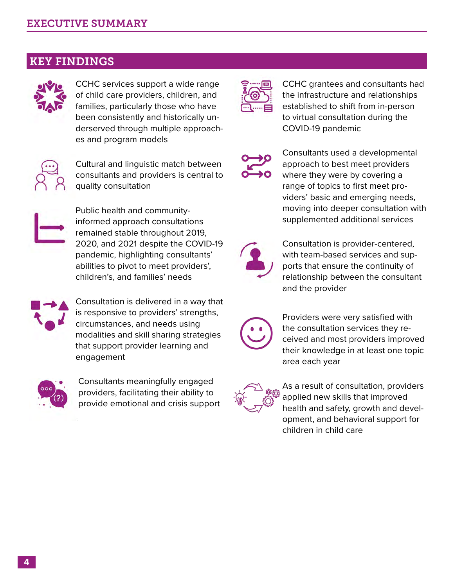### KEY FINDINGS



CCHC services support a wide range of child care providers, children, and families, particularly those who have been consistently and historically underserved through multiple approaches and program models



Cultural and linguistic match between consultants and providers is central to quality consultation



Public health and communityinformed approach consultations remained stable throughout 2019, 2020, and 2021 despite the COVID-19 pandemic, highlighting consultants' abilities to pivot to meet providers', children's, and families' needs



Consultation is delivered in a way that is responsive to providers' strengths, circumstances, and needs using modalities and skill sharing strategies that support provider learning and engagement



Consultants meaningfully engaged providers, facilitating their ability to provide emotional and crisis support



CCHC grantees and consultants had the infrastructure and relationships established to shift from in-person to virtual consultation during the COVID-19 pandemic



Consultants used a developmental approach to best meet providers where they were by covering a range of topics to first meet providers' basic and emerging needs, moving into deeper consultation with supplemented additional services



Consultation is provider-centered, with team-based services and supports that ensure the continuity of relationship between the consultant and the provider



Providers were very satisfied with the consultation services they received and most providers improved their knowledge in at least one topic area each year



As a result of consultation, providers applied new skills that improved health and safety, growth and development, and behavioral support for children in child care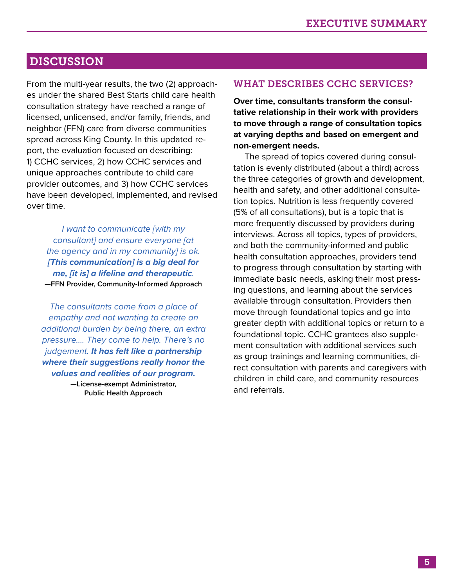### DISCUSSION

From the multi-year results, the two (2) approaches under the shared Best Starts child care health consultation strategy have reached a range of licensed, unlicensed, and/or family, friends, and neighbor (FFN) care from diverse communities spread across King County. In this updated report, the evaluation focused on describing: 1) CCHC services, 2) how CCHC services and unique approaches contribute to child care provider outcomes, and 3) how CCHC services have been developed, implemented, and revised over time.

*I want to communicate [with my consultant] and ensure everyone [at the agency and in my community] is ok. [This communication] is a big deal for me, [it is] a lifeline and therapeutic.* **—FFN Provider, Community-Informed Approach**

*The consultants come from a place of empathy and not wanting to create an additional burden by being there, an extra pressure…. They come to help. There's no judgement. It has felt like a partnership where their suggestions really honor the values and realities of our program.*

> **—License-exempt Administrator, Public Health Approach**

#### WHAT DESCRIBES CCHC SERVICES?

**Over time, consultants transform the consultative relationship in their work with providers to move through a range of consultation topics at varying depths and based on emergent and non-emergent needs.** 

The spread of topics covered during consultation is evenly distributed (about a third) across the three categories of growth and development, health and safety, and other additional consultation topics. Nutrition is less frequently covered (5% of all consultations), but is a topic that is more frequently discussed by providers during interviews. Across all topics, types of providers, and both the community-informed and public health consultation approaches, providers tend to progress through consultation by starting with immediate basic needs, asking their most pressing questions, and learning about the services available through consultation. Providers then move through foundational topics and go into greater depth with additional topics or return to a foundational topic. CCHC grantees also supplement consultation with additional services such as group trainings and learning communities, direct consultation with parents and caregivers with children in child care, and community resources and referrals.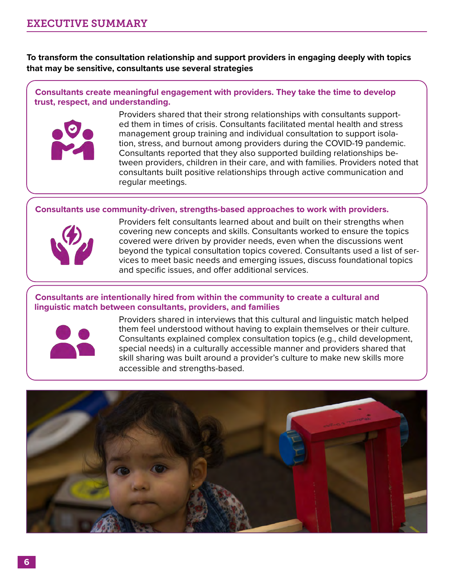**To transform the consultation relationship and support providers in engaging deeply with topics that may be sensitive, consultants use several strategies**

**Consultants create meaningful engagement with providers. They take the time to develop trust, respect, and understanding.**



Providers shared that their strong relationships with consultants supported them in times of crisis. Consultants facilitated mental health and stress management group training and individual consultation to support isolation, stress, and burnout among providers during the COVID-19 pandemic. Consultants reported that they also supported building relationships between providers, children in their care, and with families. Providers noted that consultants built positive relationships through active communication and regular meetings.

### **Consultants use community-driven, strengths-based approaches to work with providers.**



Providers felt consultants learned about and built on their strengths when covering new concepts and skills. Consultants worked to ensure the topics covered were driven by provider needs, even when the discussions went beyond the typical consultation topics covered. Consultants used a list of services to meet basic needs and emerging issues, discuss foundational topics and specific issues, and offer additional services.

#### **Consultants are intentionally hired from within the community to create a cultural and linguistic match between consultants, providers, and families**



Providers shared in interviews that this cultural and linguistic match helped them feel understood without having to explain themselves or their culture. Consultants explained complex consultation topics (e.g., child development, special needs) in a culturally accessible manner and providers shared that skill sharing was built around a provider's culture to make new skills more accessible and strengths-based.

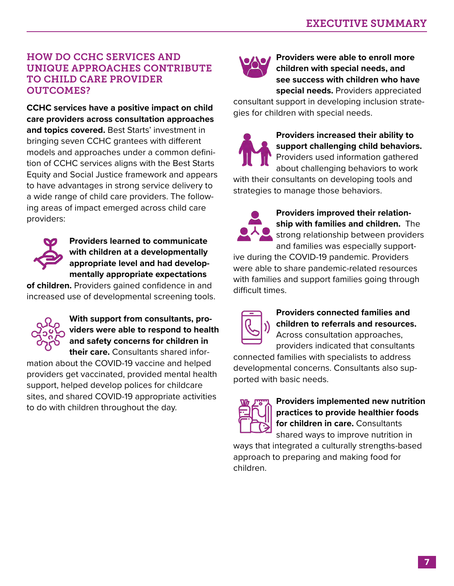### HOW DO CCHC SERVICES AND UNIQUE APPROACHES CONTRIBUTE TO CHILD CARE PROVIDER OUTCOMES?

**CCHC services have a positive impact on child care providers across consultation approaches and topics covered.** Best Starts' investment in bringing seven CCHC grantees with different models and approaches under a common definition of CCHC services aligns with the Best Starts Equity and Social Justice framework and appears to have advantages in strong service delivery to a wide range of child care providers. The following areas of impact emerged across child care providers:



**Providers learned to communicate with children at a developmentally appropriate level and had developmentally appropriate expectations** 

**of children.** Providers gained confidence in and increased use of developmental screening tools.



**With support from consultants, providers were able to respond to health and safety concerns for children in their care.** Consultants shared infor-

mation about the COVID-19 vaccine and helped providers get vaccinated, provided mental health support, helped develop polices for childcare sites, and shared COVID-19 appropriate activities to do with children throughout the day.



**Providers were able to enroll more children with special needs, and see success with children who have special needs.** Providers appreciated

consultant support in developing inclusion strategies for children with special needs.



**Providers increased their ability to support challenging child behaviors.** Providers used information gathered

about challenging behaviors to work with their consultants on developing tools and strategies to manage those behaviors.



**Providers improved their relationship with families and children.** The strong relationship between providers and families was especially support-

ive during the COVID-19 pandemic. Providers were able to share pandemic-related resources with families and support families going through difficult times.



**Providers connected families and children to referrals and resources.**  Across consultation approaches,

providers indicated that consultants connected families with specialists to address

developmental concerns. Consultants also supported with basic needs.



**Providers implemented new nutrition practices to provide healthier foods for children in care.** Consultants

shared ways to improve nutrition in ways that integrated a culturally strengths-based approach to preparing and making food for children.